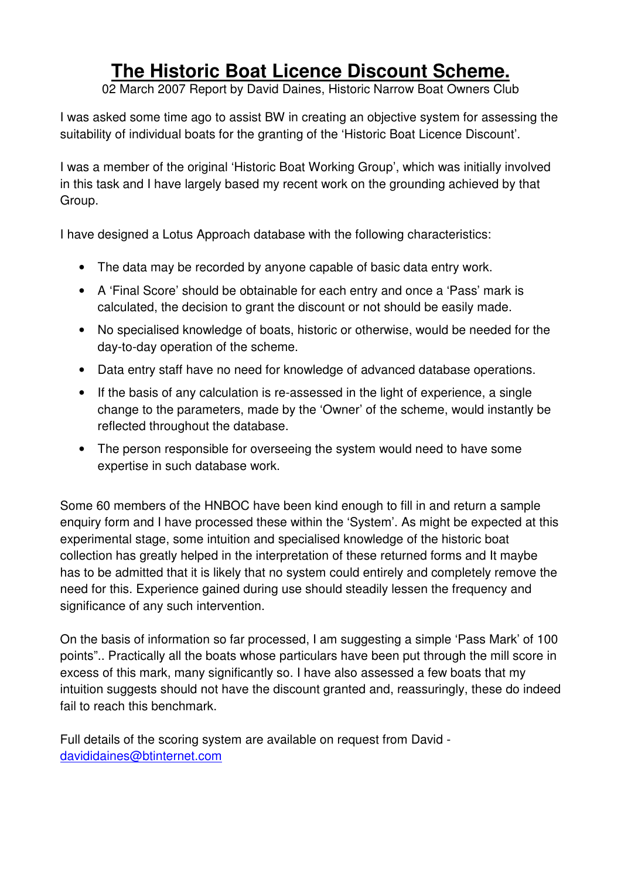## **The Historic Boat Licence Discount Scheme.**

02 March 2007 Report by David Daines, Historic Narrow Boat Owners Club

I was asked some time ago to assist BW in creating an objective system for assessing the suitability of individual boats for the granting of the 'Historic Boat Licence Discount'.

I was a member of the original 'Historic Boat Working Group', which was initially involved in this task and I have largely based my recent work on the grounding achieved by that Group.

I have designed a Lotus Approach database with the following characteristics:

- The data may be recorded by anyone capable of basic data entry work.
- A 'Final Score' should be obtainable for each entry and once a 'Pass' mark is calculated, the decision to grant the discount or not should be easily made.
- No specialised knowledge of boats, historic or otherwise, would be needed for the day-to-day operation of the scheme.
- Data entry staff have no need for knowledge of advanced database operations.
- If the basis of any calculation is re-assessed in the light of experience, a single change to the parameters, made by the 'Owner' of the scheme, would instantly be reflected throughout the database.
- The person responsible for overseeing the system would need to have some expertise in such database work.

Some 60 members of the HNBOC have been kind enough to fill in and return a sample enquiry form and I have processed these within the 'System'. As might be expected at this experimental stage, some intuition and specialised knowledge of the historic boat collection has greatly helped in the interpretation of these returned forms and It maybe has to be admitted that it is likely that no system could entirely and completely remove the need for this. Experience gained during use should steadily lessen the frequency and significance of any such intervention.

On the basis of information so far processed, I am suggesting a simple 'Pass Mark' of 100 points".. Practically all the boats whose particulars have been put through the mill score in excess of this mark, many significantly so. I have also assessed a few boats that my intuition suggests should not have the discount granted and, reassuringly, these do indeed fail to reach this benchmark.

Full details of the scoring system are available on request from David davididaines@btinternet.com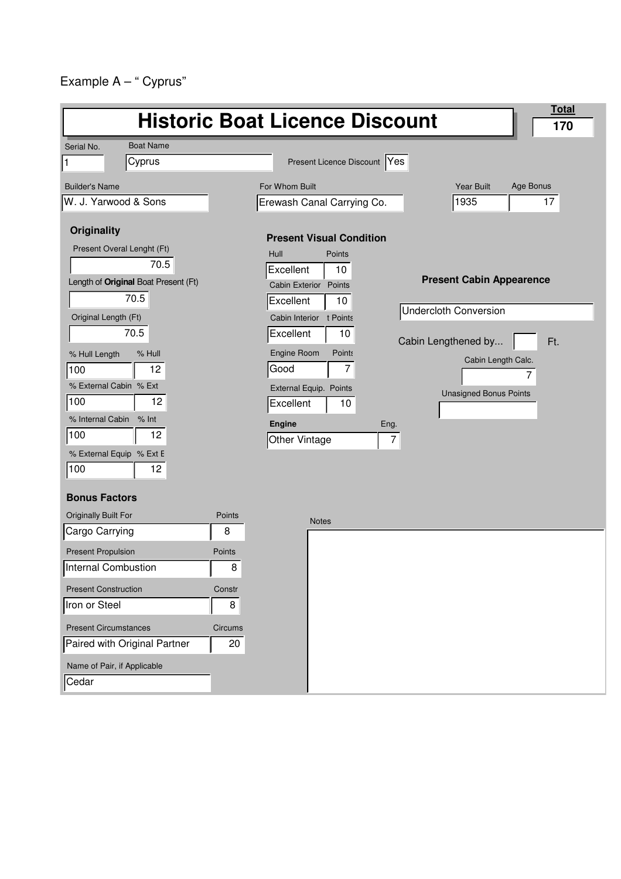## Example A – " Cyprus"

|                                                                                                            |                      | <b>Historic Boat Licence Discount</b>                                                                    | <b>Total</b><br>170                                             |
|------------------------------------------------------------------------------------------------------------|----------------------|----------------------------------------------------------------------------------------------------------|-----------------------------------------------------------------|
| <b>Boat Name</b><br>Serial No.                                                                             |                      |                                                                                                          |                                                                 |
| Cyprus<br>1                                                                                                |                      | Present Licence Discount Yes                                                                             |                                                                 |
| <b>Builder's Name</b>                                                                                      |                      | For Whom Built                                                                                           | Age Bonus<br><b>Year Built</b>                                  |
| W. J. Yarwood & Sons                                                                                       |                      | Erewash Canal Carrying Co.                                                                               | 1935<br>17                                                      |
| <b>Originality</b>                                                                                         |                      | <b>Present Visual Condition</b>                                                                          |                                                                 |
| Present Overal Lenght (Ft)<br>70.5<br>Length of Original Boat Present (Ft)<br>70.5<br>Original Length (Ft) |                      | Hull<br>Points<br>Excellent<br>10<br>Cabin Exterior Points<br>Excellent<br>10<br>Cabin Interior t Points | <b>Present Cabin Appearence</b><br><b>Undercloth Conversion</b> |
| 70.5<br>$%$ Hull<br>% Hull Length<br>100<br>12                                                             |                      | Excellent<br>10<br>Engine Room<br><b>Points</b><br>Good<br>7                                             | Cabin Lengthened by<br>Ft.<br>Cabin Length Calc.                |
| % External Cabin % Ext<br>12<br>100 <br>% Internal Cabin % Int                                             |                      | External Equip. Points<br>Excellent<br>10<br><b>Engine</b>                                               | 7<br><b>Unasigned Bonus Points</b><br>Eng.                      |
| 100<br>12<br>% External Equip % Ext E<br>100<br>12                                                         |                      | Other Vintage                                                                                            | $\overline{7}$                                                  |
| <b>Bonus Factors</b>                                                                                       |                      |                                                                                                          |                                                                 |
| <b>Originally Built For</b>                                                                                | Points               | <b>Notes</b>                                                                                             |                                                                 |
| Cargo Carrying                                                                                             | 8                    |                                                                                                          |                                                                 |
| <b>Present Propulsion</b>                                                                                  | Points               |                                                                                                          |                                                                 |
| Internal Combustion                                                                                        | 8                    |                                                                                                          |                                                                 |
| <b>Present Construction</b>                                                                                | Constr               |                                                                                                          |                                                                 |
| Iron or Steel                                                                                              | 8                    |                                                                                                          |                                                                 |
| <b>Present Circumstances</b><br>Paired with Original Partner                                               | <b>Circums</b><br>20 |                                                                                                          |                                                                 |
| Name of Pair, if Applicable<br>Cedar                                                                       |                      |                                                                                                          |                                                                 |